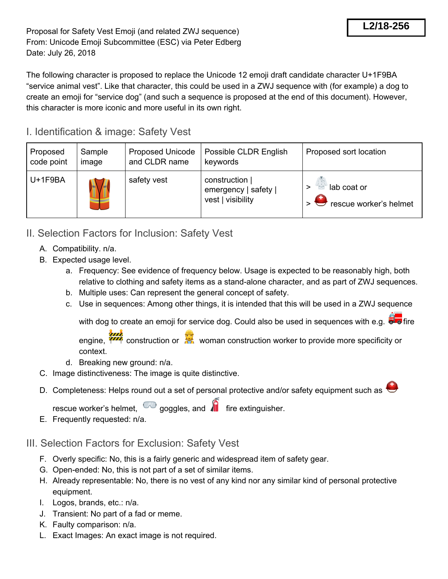The following character is proposed to replace the Unicode 12 emoji draft candidate character U+1F9BA "service animal vest". Like that character, this could be used in a ZWJ sequence with (for example) a dog to create an emoji for "service dog" (and such a sequence is proposed at the end of this document). However, this character is more iconic and more useful in its own right.

## I. Identification & image: Safety Vest

| Proposed   | Sample | <b>Proposed Unicode</b> | Possible CLDR English                                       | Proposed sort location                |
|------------|--------|-------------------------|-------------------------------------------------------------|---------------------------------------|
| code point | image  | and CLDR name           | keywords                                                    |                                       |
| U+1F9BA    |        | safety vest             | construction  <br>emergency   safety  <br>vest   visibility | lab coat or<br>rescue worker's helmet |

- II. Selection Factors for Inclusion: Safety Vest
	- A. Compatibility. n/a.
	- B. Expected usage level.
		- a. Frequency: See evidence of frequency below. Usage is expected to be reasonably high, both relative to clothing and safety items as a stand-alone character, and as part of ZWJ sequences.
		- b. Multiple uses: Can represent the general concept of safety.
		- c. Use in sequences: Among other things, it is intended that this will be used in a ZWJ sequence

with dog to create an emoji for service dog. Could also be used in sequences with e.g.  $\overline{\mathbb{Z}}$  o fire

engine,  $\frac{Q}{Q}$  construction or  $\frac{Q}{Q}$  woman construction worker to provide more specificity or context.

- d. Breaking new ground: n/a.
- C. Image distinctiveness: The image is quite distinctive.
- D. Completeness: Helps round out a set of personal protective and/or safety equipment such as  $\bigoplus$

rescue worker's helmet,  $\overline{\bullet}$  goggles, and  $\overline{\bullet}$  fire extinguisher.

E. Frequently requested: n/a.

## III. Selection Factors for Exclusion: Safety Vest

- F. Overly specific: No, this is a fairly generic and widespread item of safety gear.
- G. Open-ended: No, this is not part of a set of similar items.
- H. Already representable: No, there is no vest of any kind nor any similar kind of personal protective equipment.
- I. Logos, brands, etc.: n/a.
- J. Transient: No part of a fad or meme.
- K. Faulty comparison: n/a.
- L. Exact Images: An exact image is not required.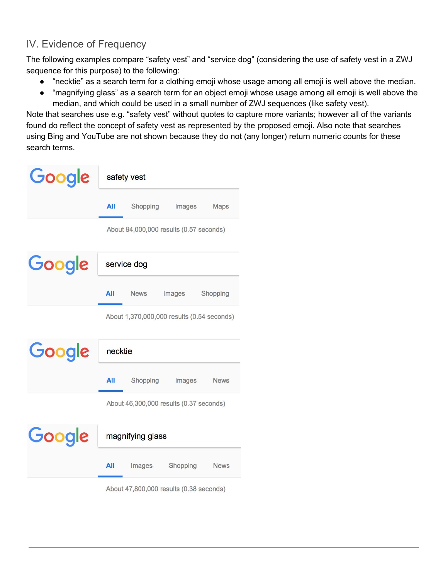## IV. Evidence of Frequency

The following examples compare "safety vest" and "service dog" (considering the use of safety vest in a ZWJ sequence for this purpose) to the following:

- "necktie" as a search term for a clothing emoji whose usage among all emoji is well above the median.
- "magnifying glass" as a search term for an object emoji whose usage among all emoji is well above the median, and which could be used in a small number of ZWJ sequences (like safety vest).

Note that searches use e.g. "safety vest" without quotes to capture more variants; however all of the variants found do reflect the concept of safety vest as represented by the proposed emoji. Also note that searches using Bing and YouTube are not shown because they do not (any longer) return numeric counts for these search terms.

| Google                                  | safety vest                                |             |          |             |  |
|-----------------------------------------|--------------------------------------------|-------------|----------|-------------|--|
|                                         | All                                        | Shopping    | Images   | <b>Maps</b> |  |
|                                         | About 94,000,000 results (0.57 seconds)    |             |          |             |  |
| Google                                  | service dog                                |             |          |             |  |
|                                         | <b>All</b>                                 | <b>News</b> | Images   | Shopping    |  |
|                                         | About 1,370,000,000 results (0.54 seconds) |             |          |             |  |
| Google<br>necktie                       |                                            |             |          |             |  |
|                                         | All                                        | Shopping    | Images   | <b>News</b> |  |
| About 46,300,000 results (0.37 seconds) |                                            |             |          |             |  |
| Google                                  | magnifying glass                           |             |          |             |  |
|                                         | All                                        | Images      | Shopping | <b>News</b> |  |
|                                         |                                            |             |          |             |  |

About 47,800,000 results (0.38 seconds)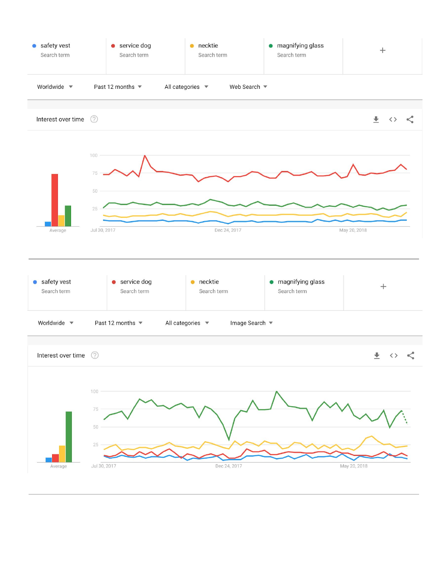